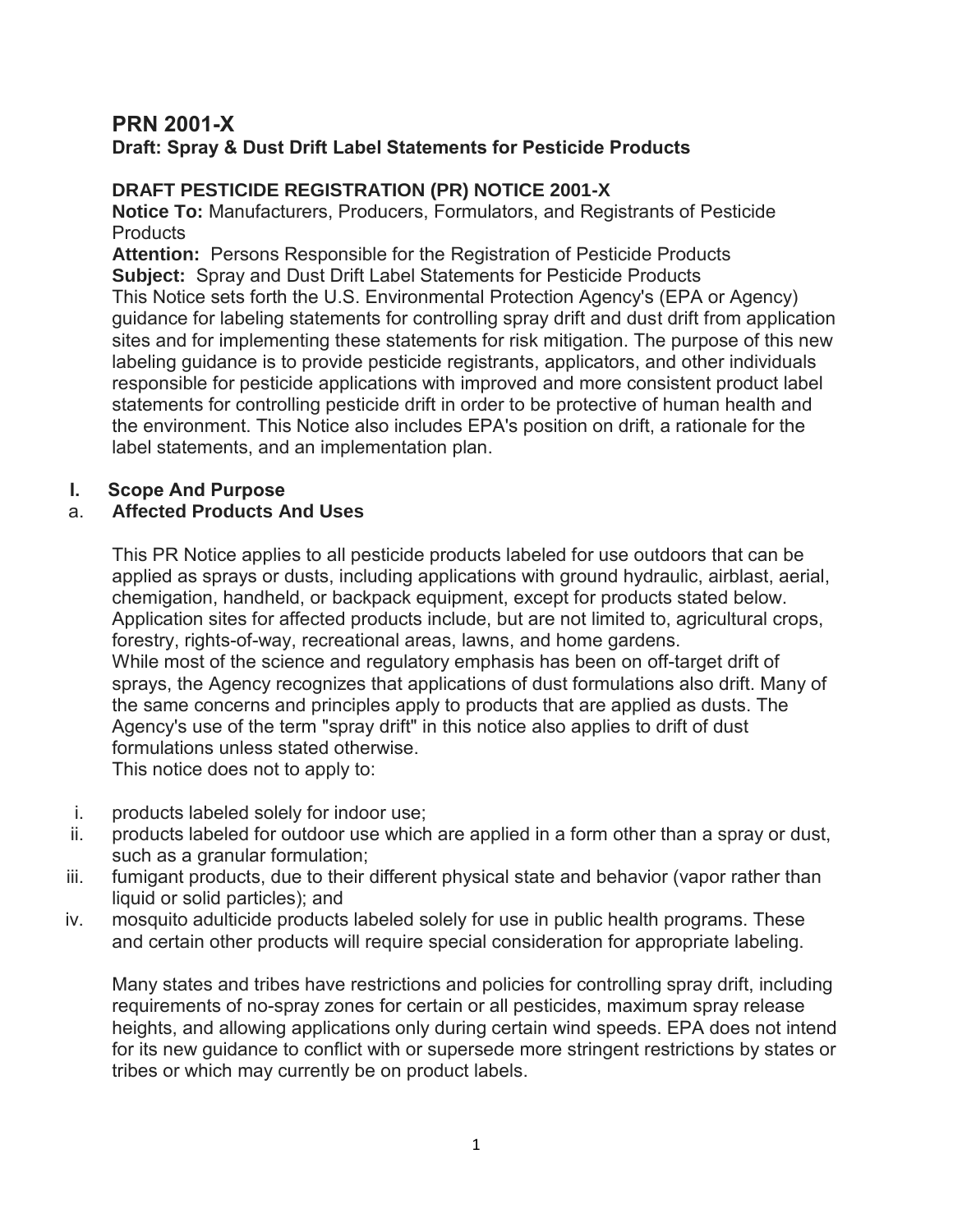# **PRN 2001-X**

## **Draft: Spray & Dust Drift Label Statements for Pesticide Products**

### **DRAFT PESTICIDE REGISTRATION (PR) NOTICE 2001-X**

**Notice To:** Manufacturers, Producers, Formulators, and Registrants of Pesticide **Products** 

**Attention:** Persons Responsible for the Registration of Pesticide Products **Subject:** Spray and Dust Drift Label Statements for Pesticide Products This Notice sets forth the U.S. Environmental Protection Agency's (EPA or Agency) guidance for labeling statements for controlling spray drift and dust drift from application sites and for implementing these statements for risk mitigation. The purpose of this new labeling guidance is to provide pesticide registrants, applicators, and other individuals responsible for pesticide applications with improved and more consistent product label statements for controlling pesticide drift in order to be protective of human health and the environment. This Notice also includes EPA's position on drift, a rationale for the label statements, and an implementation plan.

### **I. Scope And Purpose**

#### a. **Affected Products And Uses**

This PR Notice applies to all pesticide products labeled for use outdoors that can be applied as sprays or dusts, including applications with ground hydraulic, airblast, aerial, chemigation, handheld, or backpack equipment, except for products stated below. Application sites for affected products include, but are not limited to, agricultural crops, forestry, rights-of-way, recreational areas, lawns, and home gardens. While most of the science and regulatory emphasis has been on off-target drift of sprays, the Agency recognizes that applications of dust formulations also drift. Many of the same concerns and principles apply to products that are applied as dusts. The Agency's use of the term "spray drift" in this notice also applies to drift of dust formulations unless stated otherwise.

This notice does not to apply to:

- i. products labeled solely for indoor use;
- ii. products labeled for outdoor use which are applied in a form other than a spray or dust, such as a granular formulation;
- iii. fumigant products, due to their different physical state and behavior (vapor rather than liquid or solid particles); and
- iv. mosquito adulticide products labeled solely for use in public health programs. These and certain other products will require special consideration for appropriate labeling.

Many states and tribes have restrictions and policies for controlling spray drift, including requirements of no-spray zones for certain or all pesticides, maximum spray release heights, and allowing applications only during certain wind speeds. EPA does not intend for its new guidance to conflict with or supersede more stringent restrictions by states or tribes or which may currently be on product labels.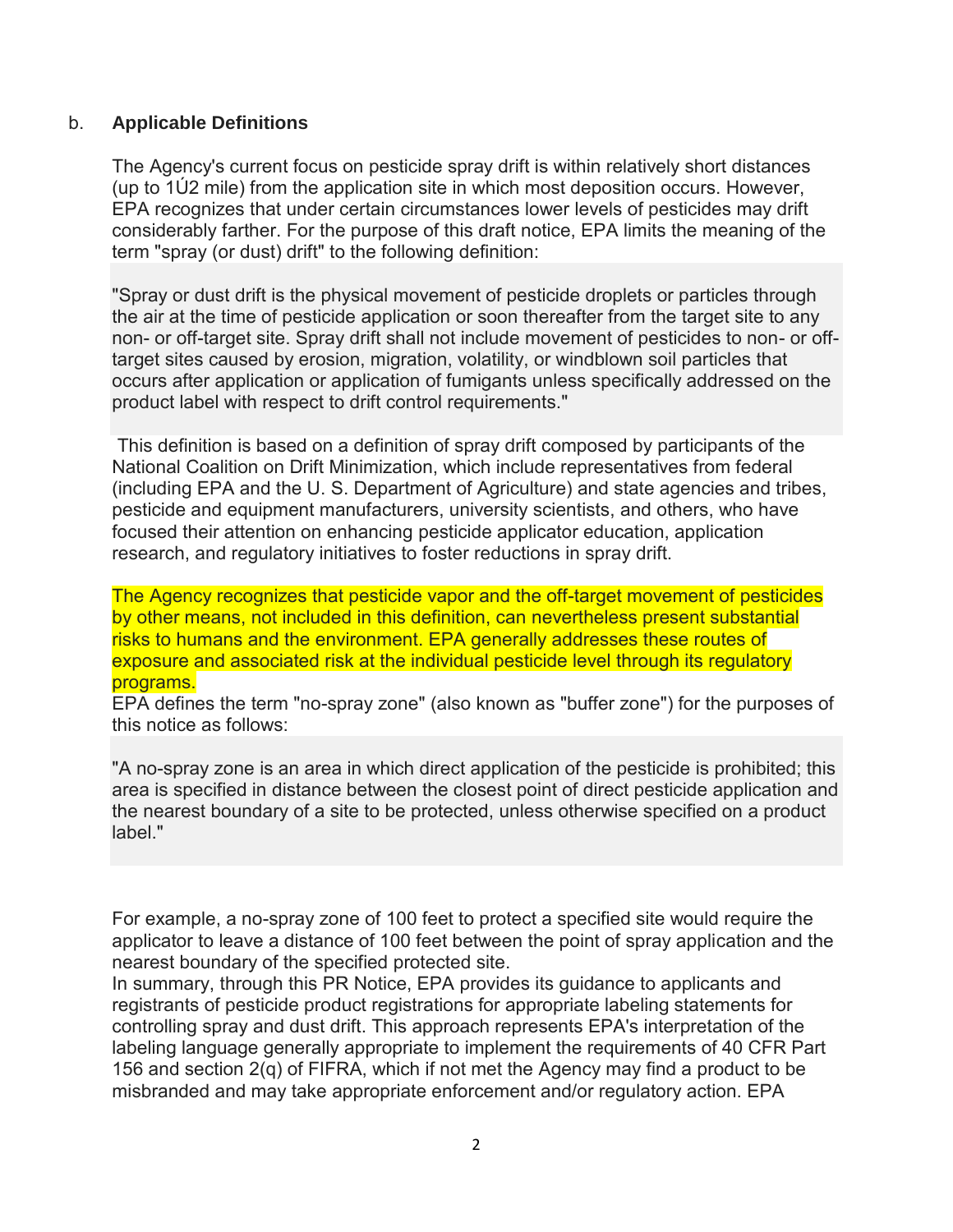#### b. **Applicable Definitions**

The Agency's current focus on pesticide spray drift is within relatively short distances (up to 1Ú2 mile) from the application site in which most deposition occurs. However, EPA recognizes that under certain circumstances lower levels of pesticides may drift considerably farther. For the purpose of this draft notice, EPA limits the meaning of the term "spray (or dust) drift" to the following definition:

"Spray or dust drift is the physical movement of pesticide droplets or particles through the air at the time of pesticide application or soon thereafter from the target site to any non- or off-target site. Spray drift shall not include movement of pesticides to non- or offtarget sites caused by erosion, migration, volatility, or windblown soil particles that occurs after application or application of fumigants unless specifically addressed on the product label with respect to drift control requirements."

This definition is based on a definition of spray drift composed by participants of the National Coalition on Drift Minimization, which include representatives from federal (including EPA and the U. S. Department of Agriculture) and state agencies and tribes, pesticide and equipment manufacturers, university scientists, and others, who have focused their attention on enhancing pesticide applicator education, application research, and regulatory initiatives to foster reductions in spray drift.

The Agency recognizes that pesticide vapor and the off-target movement of pesticides by other means, not included in this definition, can nevertheless present substantial risks to humans and the environment. EPA generally addresses these routes of exposure and associated risk at the individual pesticide level through its regulatory programs.

EPA defines the term "no-spray zone" (also known as "buffer zone") for the purposes of this notice as follows:

"A no-spray zone is an area in which direct application of the pesticide is prohibited; this area is specified in distance between the closest point of direct pesticide application and the nearest boundary of a site to be protected, unless otherwise specified on a product label"

For example, a no-spray zone of 100 feet to protect a specified site would require the applicator to leave a distance of 100 feet between the point of spray application and the nearest boundary of the specified protected site.

In summary, through this PR Notice, EPA provides its guidance to applicants and registrants of pesticide product registrations for appropriate labeling statements for controlling spray and dust drift. This approach represents EPA's interpretation of the labeling language generally appropriate to implement the requirements of 40 CFR Part 156 and section 2(q) of FIFRA, which if not met the Agency may find a product to be misbranded and may take appropriate enforcement and/or regulatory action. EPA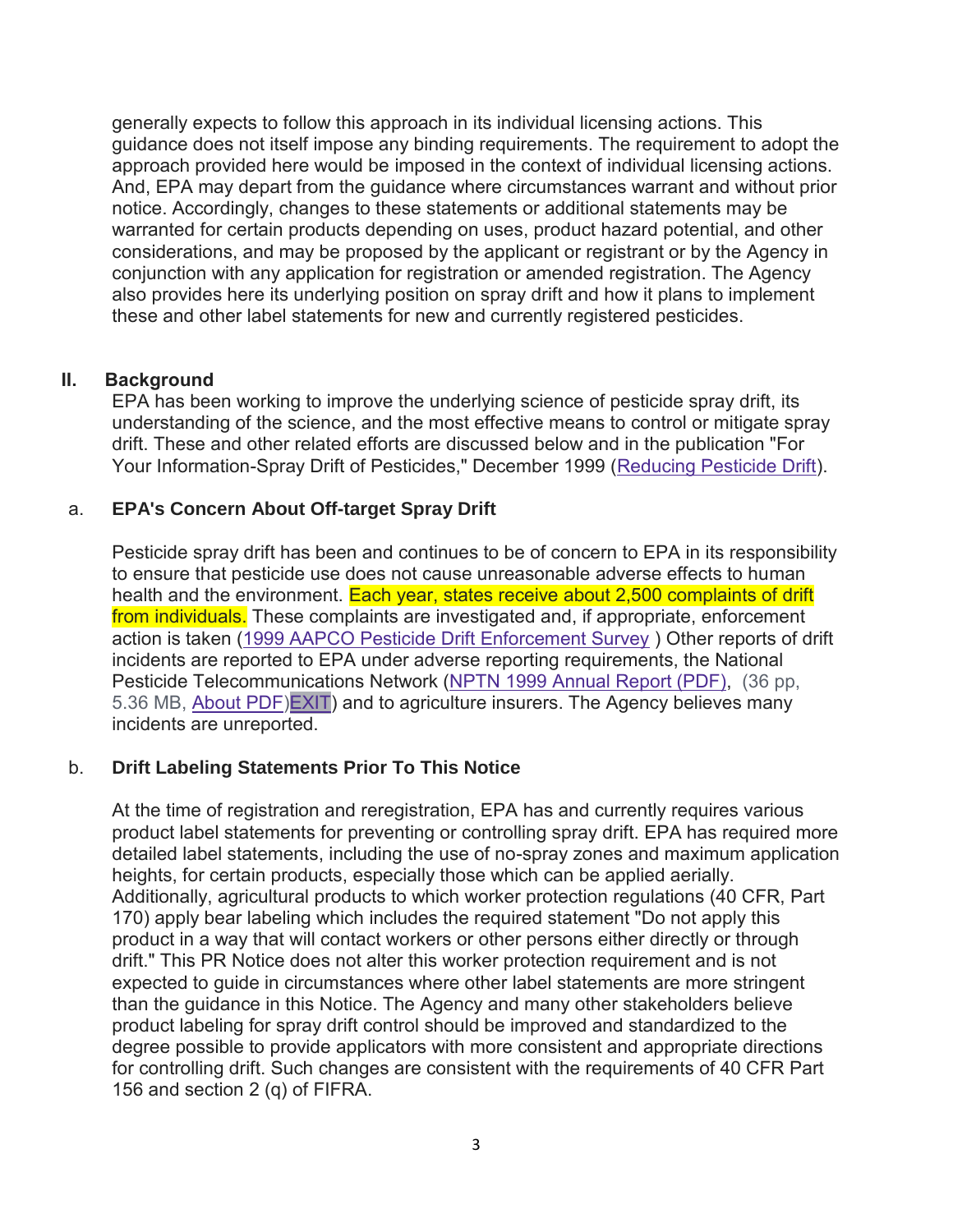generally expects to follow this approach in its individual licensing actions. This guidance does not itself impose any binding requirements. The requirement to adopt the approach provided here would be imposed in the context of individual licensing actions. And, EPA may depart from the guidance where circumstances warrant and without prior notice. Accordingly, changes to these statements or additional statements may be warranted for certain products depending on uses, product hazard potential, and other considerations, and may be proposed by the applicant or registrant or by the Agency in conjunction with any application for registration or amended registration. The Agency also provides here its underlying position on spray drift and how it plans to implement these and other label statements for new and currently registered pesticides.

#### **II. Background**

EPA has been working to improve the underlying science of pesticide spray drift, its understanding of the science, and the most effective means to control or mitigate spray drift. These and other related efforts are discussed below and in the publication "For Your Information-Spray Drift of Pesticides," December 1999 [\(Reducing Pesticide Drift\)](https://www.epa.gov/reducing-pesticide-drift).

### a. **EPA's Concern About Off-target Spray Drift**

Pesticide spray drift has been and continues to be of concern to EPA in its responsibility to ensure that pesticide use does not cause unreasonable adverse effects to human health and the environment. Each year, states receive about 2,500 complaints of drift from individuals. These complaints are investigated and, if appropriate, enforcement action is taken [\(1999 AAPCO Pesticide Drift Enforcement Survey](https://www.regulations.gov/contentStreamer?documentId=EPA-HQ-OPP-2012-0306-0037&attachmentNumber=15&disposition=attachment&contentType=pdf) ) Other reports of drift incidents are reported to EPA under adverse reporting requirements, the National Pesticide Telecommunications Network [\(NPTN 1999 Annual Report \(PDF\),](http://npic.orst.edu/reports/NPTN99AR.pdf) (36 pp, 5.36 MB, [About PDF](https://www.epa.gov/home/pdf-files)[\)EXIT\)](https://www.epa.gov/home/exit-epa) and to agriculture insurers. The Agency believes many incidents are unreported.

### b. **Drift Labeling Statements Prior To This Notice**

At the time of registration and reregistration, EPA has and currently requires various product label statements for preventing or controlling spray drift. EPA has required more detailed label statements, including the use of no-spray zones and maximum application heights, for certain products, especially those which can be applied aerially. Additionally, agricultural products to which worker protection regulations (40 CFR, Part 170) apply bear labeling which includes the required statement "Do not apply this product in a way that will contact workers or other persons either directly or through drift." This PR Notice does not alter this worker protection requirement and is not expected to guide in circumstances where other label statements are more stringent than the guidance in this Notice. The Agency and many other stakeholders believe product labeling for spray drift control should be improved and standardized to the degree possible to provide applicators with more consistent and appropriate directions for controlling drift. Such changes are consistent with the requirements of 40 CFR Part 156 and section 2 (q) of FIFRA.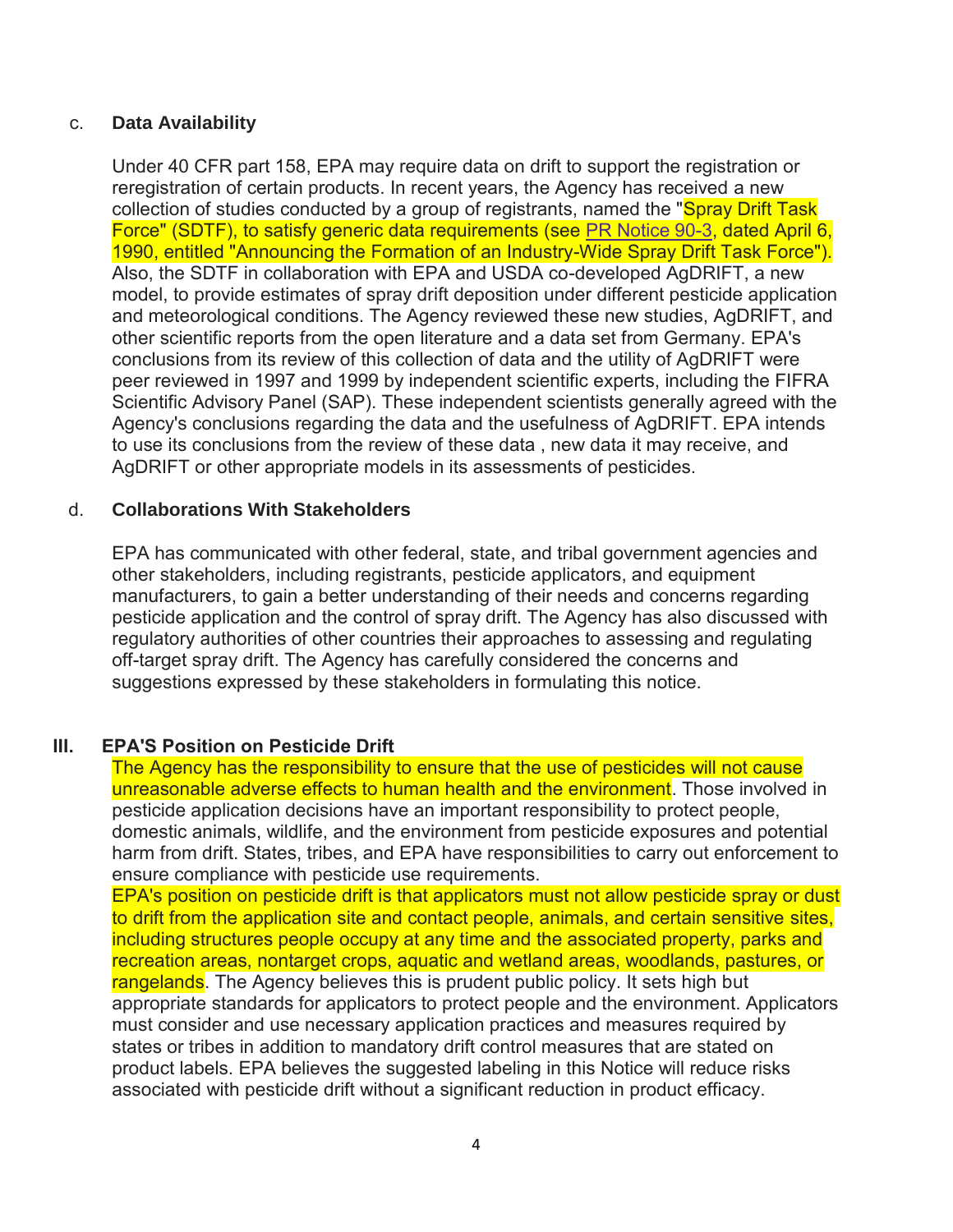#### c. **Data Availability**

Under 40 CFR part 158, EPA may require data on drift to support the registration or reregistration of certain products. In recent years, the Agency has received a new collection of studies conducted by a group of registrants, named the "Spray Drift Task" Force" (SDTF), to satisfy generic data requirements (see [PR Notice 90-3,](https://www.epa.gov/pesticide-registration/prn-90-3-announcing-formation-industry-wide-spray-drift-task-force) dated April 6, 1990, entitled "Announcing the Formation of an Industry-Wide Spray Drift Task Force"). Also, the SDTF in collaboration with EPA and USDA co-developed AgDRIFT, a new model, to provide estimates of spray drift deposition under different pesticide application and meteorological conditions. The Agency reviewed these new studies, AgDRIFT, and other scientific reports from the open literature and a data set from Germany. EPA's conclusions from its review of this collection of data and the utility of AgDRIFT were peer reviewed in 1997 and 1999 by independent scientific experts, including the FIFRA Scientific Advisory Panel (SAP). These independent scientists generally agreed with the Agency's conclusions regarding the data and the usefulness of AgDRIFT. EPA intends to use its conclusions from the review of these data , new data it may receive, and AgDRIFT or other appropriate models in its assessments of pesticides.

#### d. **Collaborations With Stakeholders**

EPA has communicated with other federal, state, and tribal government agencies and other stakeholders, including registrants, pesticide applicators, and equipment manufacturers, to gain a better understanding of their needs and concerns regarding pesticide application and the control of spray drift. The Agency has also discussed with regulatory authorities of other countries their approaches to assessing and regulating off-target spray drift. The Agency has carefully considered the concerns and suggestions expressed by these stakeholders in formulating this notice.

#### **III. EPA'S Position on Pesticide Drift**

The Agency has the responsibility to ensure that the use of pesticides will not cause unreasonable adverse effects to human health and the environment. Those involved in pesticide application decisions have an important responsibility to protect people, domestic animals, wildlife, and the environment from pesticide exposures and potential harm from drift. States, tribes, and EPA have responsibilities to carry out enforcement to ensure compliance with pesticide use requirements.

EPA's position on pesticide drift is that applicators must not allow pesticide spray or dust to drift from the application site and contact people, animals, and certain sensitive sites, including structures people occupy at any time and the associated property, parks and recreation areas, nontarget crops, aquatic and wetland areas, woodlands, pastures, or rangelands. The Agency believes this is prudent public policy. It sets high but appropriate standards for applicators to protect people and the environment. Applicators must consider and use necessary application practices and measures required by states or tribes in addition to mandatory drift control measures that are stated on product labels. EPA believes the suggested labeling in this Notice will reduce risks associated with pesticide drift without a significant reduction in product efficacy.